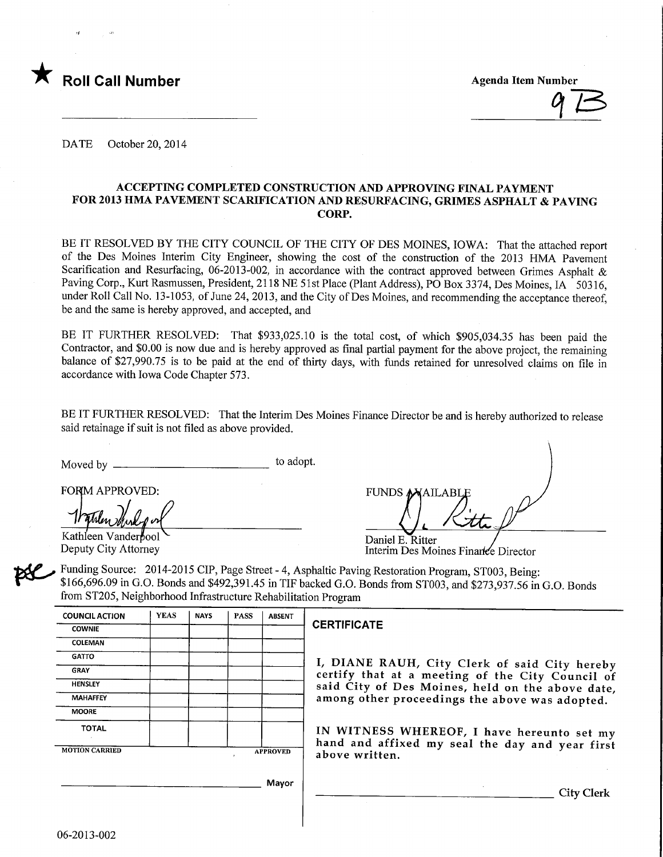

 $97$ 

DATE October 20, 2014

#### ACCEPTING COMPLETED CONSTRUCTION AND APPROVING FINAL PAYMENT FOR 2013 HMA PAVEMENT SCARIFICATION AND RESURFACING, GRIMES ASPHALT & PAVING CORP.

BE IT RESOLVED BY THE CITY COUNCIL OF THE CITY OF DES MOINES, IOWA: That the attached report of the Des Moines Interim City Engineer, showing the cost of the construction of the 2013 HMA Pavement Scarification and Resurfacing, 06-2013-002, in accordance with the contract approved between Grimes Asphalt & Paving Corp., Kurt Rasmussen, President, 2118 NE 51st Place (Plant Address), PO Box 3374, Des Moines, IA 50316, under Roll Call No. 13-1053, of June 24, 2013, and the City of Des Moines, and recommending the acceptance thereof, be and the same is hereby approved, and accepted, and

BE IT FURTHER RESOLVED: That \$933,025.10 is the total cost, of which \$905,034.35 has been paid the Contractor, and \$0.00 is now due and is hereby approved as final partial payment for the above project, the remaining balance of \$27,990.75 is to be paid at the end of thirty days, with funds retained for unresolved claims on file in accordance with Iowa Code Chapter 573.

BE IT FURTHER RESOLVED: That the Interim Des Moines Finance Director be and is hereby authorized to release said retainage if suit is not filed as above provided.

Moved by  $-\frac{1}{2}$ to adopt.

FORM APPROVED:

Kathleen Vanderbool Deputy City Attorney

| FUNDS MAILABLE                         |  |
|----------------------------------------|--|
|                                        |  |
| $\Gamma$ anial $\Gamma$ $\Gamma$ ittan |  |

Daniel E. Ritter Interim Des Moines Finance Director

 $\mathbb{R}^2$ Funding Source: 2014-2015 CIP, Page Street - 4, Asphaltic Paving Restoration Program, ST003, Being: \$166,696.09 in G.O. Bonds and \$492,391.45 in TIP backed G.O. Bonds from ST003, and \$273,937.56 in G.O. Bonds from ST205, Neighborhood Infrastructure Rehabilitation Program

| <b>COUNCIL ACTION</b> | <b>YEAS</b> | <b>NAYS</b> | <b>PASS</b>     | <b>ABSENT</b> |   |
|-----------------------|-------------|-------------|-----------------|---------------|---|
| <b>COWNIE</b>         |             |             |                 |               | ť |
| COLEMAN               |             |             |                 |               |   |
| <b>GATTO</b>          |             |             |                 |               |   |
| <b>GRAY</b>           |             |             |                 |               |   |
| <b>HENSLEY</b>        |             |             |                 |               |   |
| <b>MAHAFFEY</b>       |             |             |                 |               |   |
| <b>MOORE</b>          |             |             |                 |               |   |
| <b>TOTAL</b>          |             |             |                 |               |   |
| <b>MOTION CARRIED</b> |             |             | <b>APPROVED</b> |               |   |

#### CERTIFICATE

I, DIANE RAUH, City Clerk of said City hereby certify that at a meeting of the City Council of said City of Des Moines, held on the above date, among other proceedings the above was adopted.

IN WITNESS WHEREOF, I have hereunto set my hand and affixed my seal the day and year first above written.

Mayor

City Clerk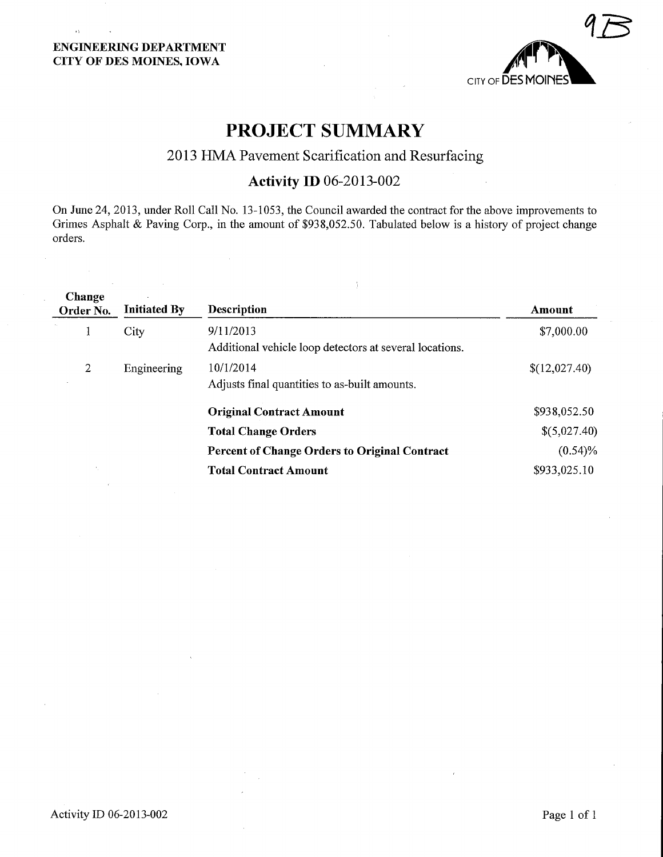### ENGINEERING DEPARTMENT CITY OF DES MOINES, IOWA

 $\alpha$ 



# PROJECT SUMMARY

## 2013 HMA Pavement Scarification and Resurfacing

# Activity ID 06-2013-002

On June 24, 2013, under Roll Call No. 13-1053, the Council awarded the contract for the above improvements to Grimes Asphalt & Paving Corp., in the amount of \$938,052.50. Tabulated below is a history of project change orders.

 $\frac{1}{4}$ 

| Change<br>Order No. | <b>Initiated By</b> | Description                                                          | Amount        |
|---------------------|---------------------|----------------------------------------------------------------------|---------------|
|                     | City                | 9/11/2013<br>Additional vehicle loop detectors at several locations. | \$7,000.00    |
| $\overline{2}$      | Engineering         | 10/1/2014<br>Adjusts final quantities to as-built amounts.           | \$(12,027.40) |
|                     |                     | <b>Original Contract Amount</b>                                      | \$938,052.50  |
|                     |                     | <b>Total Change Orders</b>                                           | \$(5,027.40)  |
|                     |                     | <b>Percent of Change Orders to Original Contract</b>                 | $(0.54)\%$    |
|                     |                     | <b>Total Contract Amount</b>                                         | \$933,025.10  |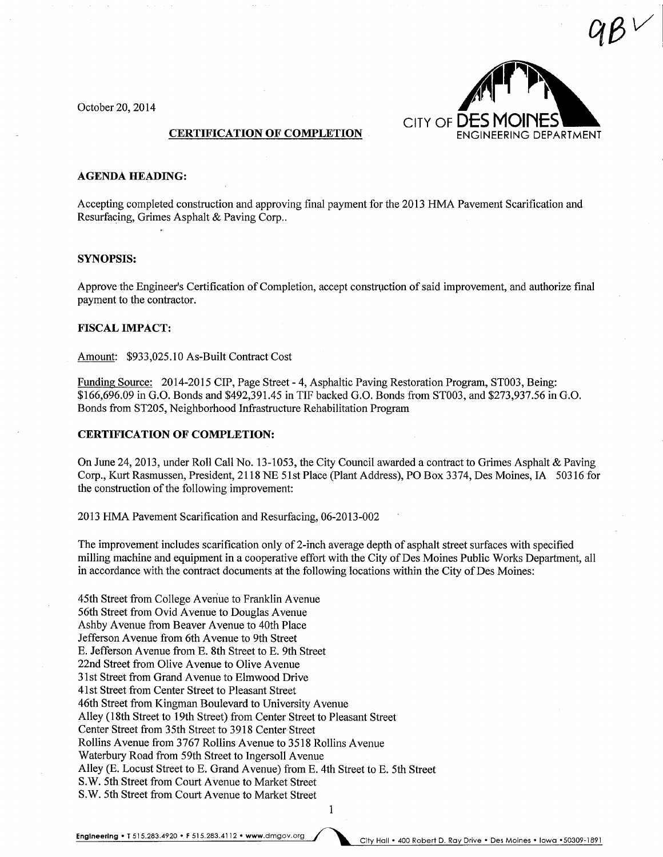October 20, 2014



#### AGENDA HEADING:

Accepting completed construction and approving final payment for the 2013 HMA Pavement Scarification and Resurfacing, Grimes Asphalt & Paving Corp..

#### SYNOPSIS:

Approve the Engineer's Certification of Completion, accept construction of said improvement, and authorize final payment to the contractor.

#### FISCAL IMPACT:

Amount: \$933,025.10 As-Built Contract Cost

Funding Source: 2014-2015 CIP, Page Street - 4, Asphaltic Paving Restoration Program, ST003, Being: \$166,696.09 in G.O. Bonds and \$492,391.45 in TIF backed G.O. Bonds from ST003, and \$273,937.56 in G.O. Bonds from ST205, Neighborhood Infrastructure Rehabilitation Program

#### CERTIFICATION OF COMPLETION:

On June 24, 2013, under Roll Call No. 13-1053, the City Council awarded a contract to Grimes Asphalt & Paving Corp., Kurt Rasmussen, President, 2118 NE 51st Place (Plant Address), PO Box 3374, Des Moines, IA 50316 for the construction of the following improvement:

2013 HMA Pavement Scarification and Resurfacing, 06-2013-002

The improvement includes scarification only of 2-inch average depth of asphalt street surfaces with specified milling machine and equipment in a cooperative effort with the City of Des Moines Public Works Department, all in accordance with the contract documents at the following locations within the City of Des Moines:

45th Street from College Avenue to Franklin Avenue 56th Street from Ovid Avenue to Douglas Avenue Ashby Avenue from Beaver Avenue to 40th Place Jefferson Avenue from 6th Avenue to 9th Street E. Jefferson Avenue from E. 8th Street to E. 9th Street 22nd Street from Olive Avenue to Olive Avenue 31st Street from Grand Avenue to Elmwood Drive 41st Street from Center Street to Pleasant Street 46th Street from Kingman Boulevard to University Avenue Alley (18th Street to 19th Street) from Center Street to Pleasant Street Center Street from 35th Street to 3918 Center Street Rollins Avenue from 3767 Rollins Avenue to 3518 Rollins Avenue Waterbury Road from 59th Street to Ingersoll Avenue Alley (E. Locust Street to E. Grand Avenue) from E. 4th Street to E. 5th Street S.W. 5th Street from Court Avenue to Market Street S.W. 5th Street from Court Avenue to Market Street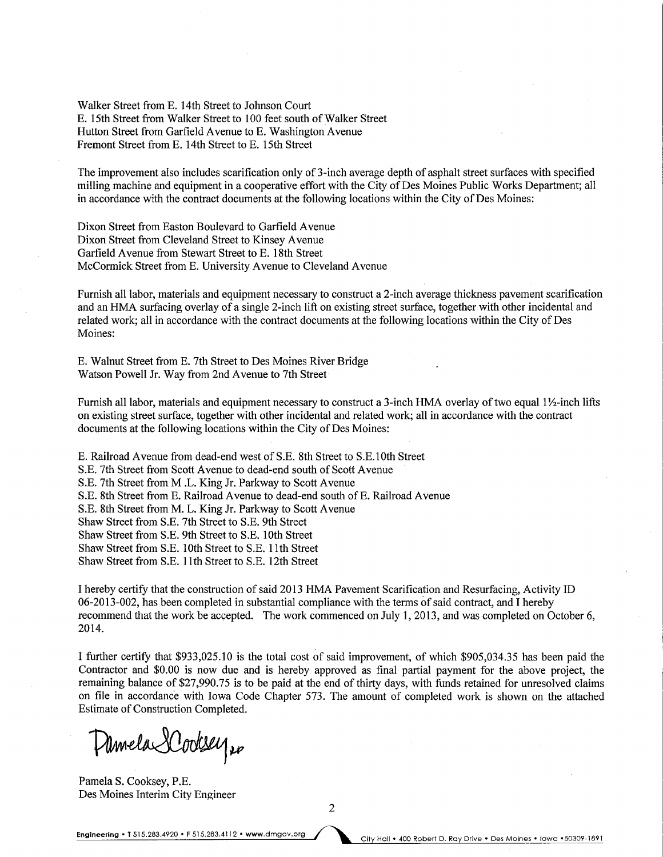Walker Street from E. 14th Street to Johnson Court E. 15th Street from Walker Street to 100 feet south of Walker Street Hutton Street from Garfleld Avenue to E. Washington Avenue Fremont Street from E. 14th Street to E. 15th Street

The improvement also includes scarification only of 3-inch average depth of asphalt street surfaces with specified milling machine and equipment in a cooperative effort with the City of Des Moines Public Works Department; all in accordance with the contract documents at the following locations within the City of Des Moines:

Dixon Street from Easton Boulevard to Garfield Avenue Dixon Street from Cleveland Street to Kinsey Avenue Garfield Avenue from Stewart Street to E. 18th Street McCormick Street from E. University Avenue to Cleveland Avenue

Furnish all labor, materials and equipment necessary to construct a 2-inch average thickness pavement scarification and an HMA surfacing overlay of a single 2-inch lift on existing street surface, together with other incidental and related work; all in accordance with the contract documents at the following locations within the City of Des Moines:

E. Walnut Street from E. 7th Street to Des Moines River Bridge Watson Powell Jr. Way from 2nd Avenue to 7th Street

Furnish all labor, materials and equipment necessary to construct a 3-inch HMA overlay of two equal 1½-inch lifts on existing street surface, together with other incidental and related work; all in accordance with the contract documents at the following locations within the City of Des Moines:

E. Railroad Avenue from dead-end west ofS.E. 8th Street to S.E.lOth Street S.E. 7th Street from Scott Avenue to dead-end south of Scott Avenue S.E. 7th Street from M .L. King Jr. Parkway to Scott Avenue S.E. 8th Street from E. Railroad Avenue to dead-end south of E. Railroad Avenue S.E. 8th Street from M. L. King Jr. Parkway to Scott Avenue Shaw Street from S.E. 7th Street to S.E. 9th Street Shaw Street from S.E. 9th Street to S.E. 10th Street Shaw Street from S.E. 10th Street to S.E. 11th Street Shaw Street from S.E. 1 1th Street to S.E. 12th Street

I hereby certify that the construction of said 2013 HMA Pavement Scarification and Resurfacing, Activity ID 06-2013-002, has been completed in substantial compliance with the terms of said contract, and I hereby recommend that the work be accepted. The work commenced on July 1, 2013, and was completed on October 6, 2014.

I further certify that \$933,025.10 is the total cost of said improvement, of which \$905,034.35 has been paid the Contractor and \$0.00 is now due and is hereby approved as final partial payment for the above project, the remaining balance of \$27,990.75 is to be paid at the end of thirty days, with funds retained for unresolved claims on file in accordance with Iowa Code Chapter 573. The amount of completed work is shown on the attached Estimate of Construction Completed.

Damela Dodsey 20

Pamela S. Cooksey, P.E. Des Moines Interim City Engineer

2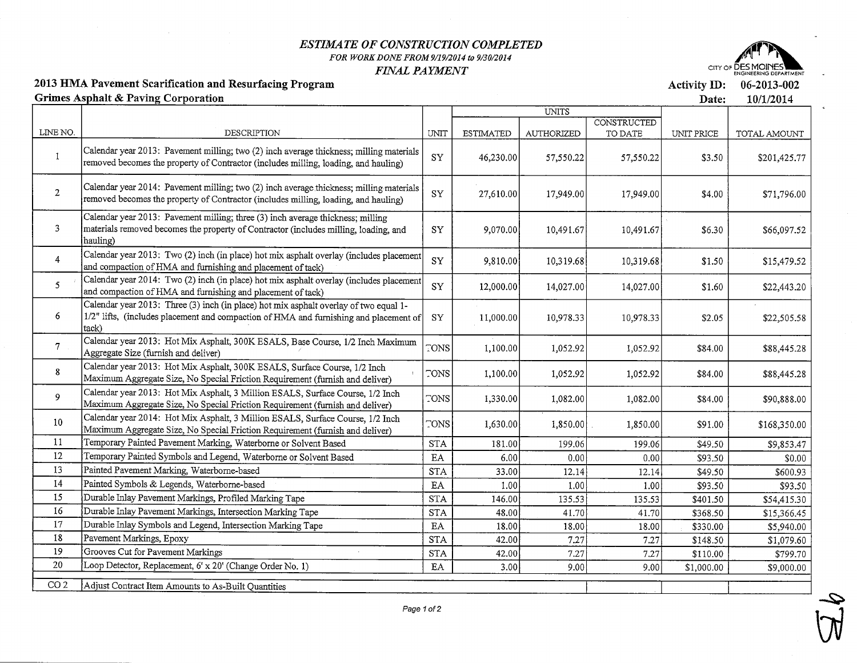#### ESTIMATE OF CONSTRUCTION COMPLETEDFOR WORK DONE FROM 9/19/2014 to 9/30/2014FINAL PAYMENT



06-2013-002

Activity ID:

2013 HMA Pavement Scarification and Resurfacing ProgramGrimes Asphalt & Paving Corporation

Date: 10/1/2014UNITS**CONSTRUCTED** LINE NO.DESCRIPTIONUNITESTIMATBDAUTHORIZEDTO DATEUNIT PRICETOTAL AMOUNTCalendar year 2013: Pavement milling; two (2) inch average thickness; milling material  $\mathbf{1}$ SY46,230.00157.550.2257,550.22\$3.50\$201,425.771emoved becomes the property of Contractor (mcludes milling, loading, and hauling)Calendar year  $2014$ : Pavement milling; two  $(2)$  inch average thickness; milling materials 2SY27,610.00117,949.0017,949.00\$4.00\$71,796.00removed becomes the property of Contractor (includes milling, loading, and hauling) calendar year 2013: Pavement milling; three (3) mch average thickness; milling3SY9,070.00]10,491.6710,491.67\$6.30\$66,097.52 naterials removed becomes the property of Contractor (includes milling, loading, andhauling) calendar year 2013: Two (2) inch (in place) hot mix asphalt overlay (includes placemen-4SY9,810.00]10,319.6810,319.68\$1.50\$15,479.52and compaction of HMA and furnishing and placement of tack) Calendar year 2014: Two (2) inch (in place) hot mix asphalt overlay (includes placemer 5SY12,000.00]14,027.00 14,027.00\$1.60\$22,443.20and compaction of HMA and furnishing and placement of tack) calendar year 2013: Three (3) inch (in place) hot mix asphalt overlay of two equal 1-6SY11,000.00110,978.33 $1/2$ " lifts, (includes placement and compaction of HMA and furnishing and placement  $\epsilon$ 10,978.33\$2.05\$22,505.58tack) Calendar year 2013: Hot Mix Asphalt, 300K ESALS, Base Course, 1/2 Inch Maximun 7TONS1,052.921,052.921,100.001\$84.00\$88,445.28aggregate Size (furnish and deliver) calendar year 2013: Hot Mix Asphalt, 300K ESALS, Surface Course, 1/2 Inch8TONS1,100.0011,052.921,052.92\$84.00\$88,445.28 Maximum Aggregate Size, No Special Friction Requirement (furnish and deliver) calendar year 2013: Hot Mix Asphalt, 3 Million ESALS, Surface Course, 1/2 Inch9TONS1,330.0011,082.0(1,082.0C\$84.00\$90,888.00Maximum Aggregate Size, No Special Friction Requirement (furnish and deliver) calendar year 2014: Hot Mix Asphalt, 3 Million ESALS, Surface Course, 1/2 Inch10TONS1,630.0011,850.00 1,850.0C\$91.00\$168,350.00Maximum Aggregate Size, No Special Friction Requirement (furnish and deliver) Temporary Painted Pavement Marking, Waterborne or Solvent Based11**STA** 181.00]199.0f199.06\$49.50\$9,853.476.00  $0.00$  o.oc \$0.00 Temporary Painted Symbols and Legend, Waterbome or Solvent Based \$93.50 12 EAPainted Pavement Marking, Waterborne-based  $12.1<sup>2</sup>$  12.14 \$49.50 \$600.93 13 33.001 STA Painted Symbols & Legends, Waterbome-based 1.0( $l.00$  \$93.50 14 1.001 \$93.50 EA 135.5; Durable Inlay Pavement Markings, Profiled Marking Tape $\mathsf{L}$ 146.00 135.53 \$401.50 \$54,415.30 STA Durable Inlay Pavement Markings, Intersection Marking Tape41.70 41.70 \$15,366.45 $\overline{6}$  48.00] \$368.50 STA Durable Inlay Symbols and Legend, Intersection Marking Tape 18.00|18.0( \$5,940.00 $\Gamma$  18.0C \$330.00 EAPavement Markings, Epoxy 7.2' \$1,079.60<u>ι</u><br>Σ 42.00| 7.2-; \$148.50 STA7.2'7.27 \$799.70 19 Grooves Cut for Pavement Markings \$110.00 42.00] STA 20 Loop Detector, Replacement, 6' x 20' (Change Order No. 1) 3.0019.0(9.0C \$1,000.00 \$9,000.00 EACO 2 | Adjust Contract Item Amounts to As-Built Quantities